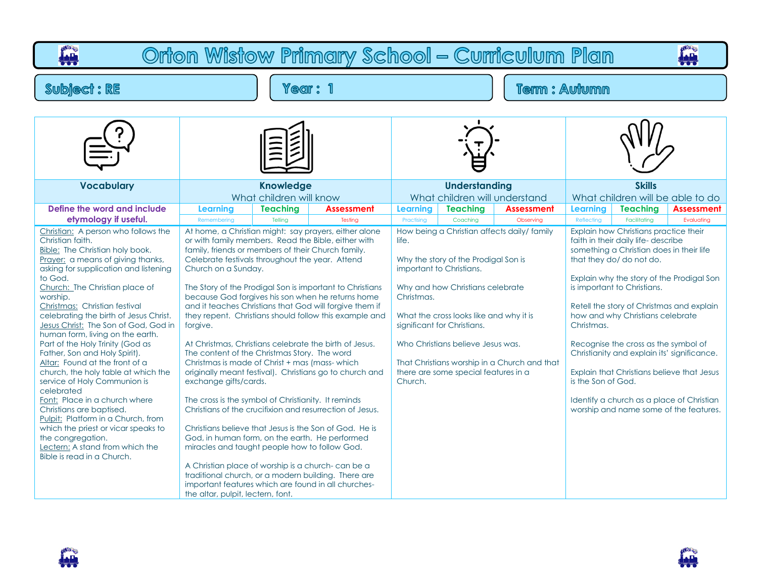## **PART p<sup>on</sup>e** Orton Wistow Primary School - Curriculum Plan **Subject: RE** Year: 1 **Term: Autumn Vocabulary Knowledge Understanding Skills** What children will know What children will understand What children will be able to do **Define the word and include Learning Teaching Assessment Learning Teaching Assessment Learning Teaching Assessment etymology if useful.** Remembering | Telling | Testing | Practising | Coaching | Observing | Reflecting | Facilitating | Evaluating Christian: A person who follows the At home, a Christian might: say prayers, either alone How being a Christian affects daily/ family Explain how Christians practice their Christian faith. or with family members. Read the Bible, either with faith in their daily life- describe life. Bible: The Christian holy book. family, friends or members of their Church family. something a Christian does in their life Prayer: a means of giving thanks, Celebrate festivals throughout the year. Attend Why the story of the Prodigal Son is that they do/ do not do. asking for supplication and listening Church on a Sunday. important to Christians. to God. Explain why the story of the Prodigal Son Church: The Christian place of Why and how Christians celebrate The Story of the Prodigal Son is important to Christians is important to Christians. worship. because God forgives his son when he returns home Christmas. Christmas: Christian festival and it teaches Christians that God will forgive them if Retell the story of Christmas and explain celebrating the birth of Jesus Christ. they repent. Christians should follow this example and What the cross looks like and why it is how and why Christians celebrate Jesus Christ: The Son of God, God in forgive. significant for Christians. Christmas. human form, living on the earth. At Christmas, Christians celebrate the birth of Jesus. Who Christians believe Jesus was. Recognise the cross as the symbol of Part of the Holy Trinity (God as Christianity and explain its' significance. Father, Son and Holy Spirit). The content of the Christmas Story. The word Altar: Found at the front of a Christmas is made of Christ + mas (mass- which That Christians worship in a Church and that Explain that Christians believe that Jesus church, the holy table at which the originally meant festival). Christians go to church and there are some special features in a service of Holy Communion is exchange gifts/cards. Church. is the Son of God. celebrated Font: Place in a church where The cross is the symbol of Christianity. It reminds Identify a church as a place of Christian Christians of the crucifixion and resurrection of Jesus. worship and name some of the features.Christians are baptised. Pulpit: Platform in a Church, from which the priest or vicar speaks to Christians believe that Jesus is the Son of God. He is the congregation. God, in human form, on the earth. He performed Lectern: A stand from which the miracles and taught people how to follow God. Bible is read in a Church. A Christian place of worship is a church- can be a traditional church, or a modern building. There are

important features which are found in all churches-

the altar, pulpit, lectern, font.



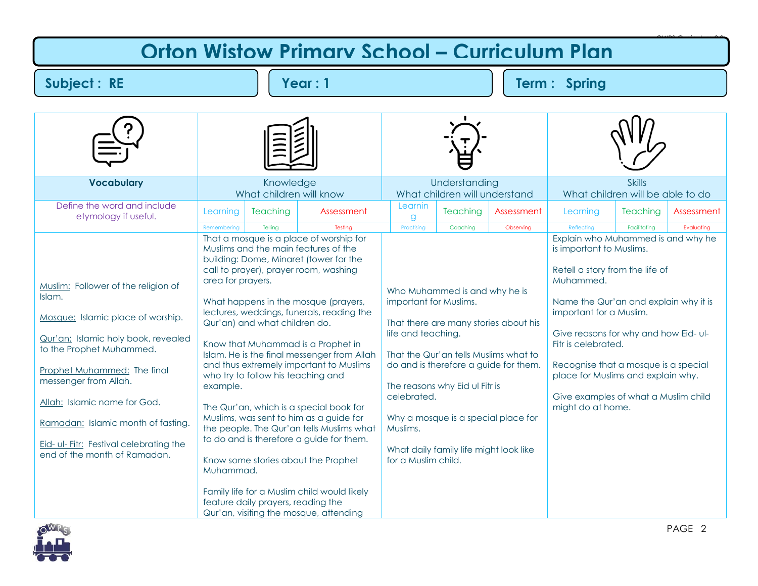## **Orton Wistow Primary School – Curriculum Plan**

**Subject : RE Year : 1 Term : Spring** 

| <b>Vocabulary</b>                                                                                                                                                                                                                                                                                                                                              | Knowledge<br>What children will know       |                                                                                                           | Understanding<br>What children will understand                                                                                                                                                                                                                                                                                                                                                                                                                                                                                                                                                                                                                                                         |                                                                                                |                                                                                                                                                                                                       | <b>Skills</b><br>What children will be able to do                                           |                                                                                                                                                                                                                                                                                                                                                                                              |                          |            |
|----------------------------------------------------------------------------------------------------------------------------------------------------------------------------------------------------------------------------------------------------------------------------------------------------------------------------------------------------------------|--------------------------------------------|-----------------------------------------------------------------------------------------------------------|--------------------------------------------------------------------------------------------------------------------------------------------------------------------------------------------------------------------------------------------------------------------------------------------------------------------------------------------------------------------------------------------------------------------------------------------------------------------------------------------------------------------------------------------------------------------------------------------------------------------------------------------------------------------------------------------------------|------------------------------------------------------------------------------------------------|-------------------------------------------------------------------------------------------------------------------------------------------------------------------------------------------------------|---------------------------------------------------------------------------------------------|----------------------------------------------------------------------------------------------------------------------------------------------------------------------------------------------------------------------------------------------------------------------------------------------------------------------------------------------------------------------------------------------|--------------------------|------------|
| Define the word and include<br>etymology if useful.                                                                                                                                                                                                                                                                                                            | Learning<br>Remembering                    | Teaching<br>Telling                                                                                       | Assessment<br>Testing                                                                                                                                                                                                                                                                                                                                                                                                                                                                                                                                                                                                                                                                                  | Learnin<br>a<br>Practising                                                                     | Teaching                                                                                                                                                                                              | Assessment                                                                                  | Learning<br>Reflecting                                                                                                                                                                                                                                                                                                                                                                       | Teaching<br>Facilitating | Assessment |
| Muslim: Follower of the religion of<br>Islam.<br>Mosque: Islamic place of worship.<br>Qur'an: Islamic holy book, revealed<br>to the Prophet Muhammed.<br>Prophet Muhammed: The final<br>messenger from Allah.<br>Allah: Islamic name for God.<br>Ramadan: Islamic month of fasting.<br>Eid- ul- Fitr: Festival celebrating the<br>end of the month of Ramadan. | area for prayers.<br>example.<br>Muhammad. | Qur'an) and what children do.<br>who try to follow his teaching and<br>feature daily prayers, reading the | That a mosque is a place of worship for<br>Muslims and the main features of the<br>building: Dome, Minaret (tower for the<br>call to prayer), prayer room, washing<br>What happens in the mosque (prayers,<br>lectures, weddings, funerals, reading the<br>Know that Muhammad is a Prophet in<br>Islam. He is the final messenger from Allah<br>and thus extremely important to Muslims<br>The Qur'an, which is a special book for<br>Muslims, was sent to him as a guide for<br>the people. The Qur'an tells Muslims what<br>to do and is therefore a guide for them.<br>Know some stories about the Prophet<br>Family life for a Muslim child would likely<br>Qur'an, visiting the mosque, attending | important for Muslims.<br>life and teaching.<br>celebrated.<br>Muslims.<br>for a Muslim child. | Coaching<br>Who Muhammed is and why he is<br>That the Qur'an tells Muslims what to<br>The reasons why Eid ul Fitr is<br>Why a mosque is a special place for<br>What daily family life might look like | Observing<br>That there are many stories about his<br>do and is therefore a guide for them. | Explain who Muhammed is and why he<br>is important to Muslims.<br>Retell a story from the life of<br>Muhammed.<br>Name the Qur'an and explain why it is<br>important for a Muslim.<br>Give reasons for why and how Eid-ul-<br>Fitr is celebrated.<br>Recognise that a mosque is a special<br>place for Muslims and explain why.<br>Give examples of what a Muslim child<br>might do at home. |                          | Evaluating |



OWPS Curriculum 2.0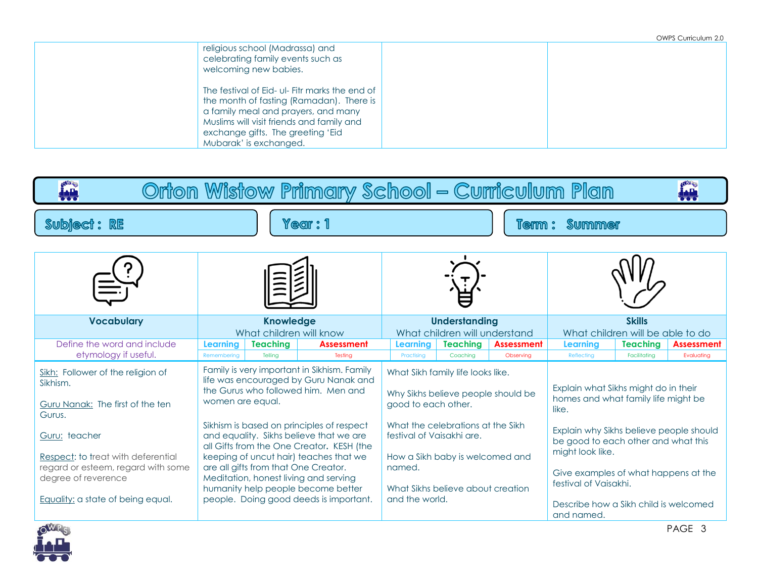|                                                                                                                                                                                                                                               | OWPS Curriculum 2.0 |
|-----------------------------------------------------------------------------------------------------------------------------------------------------------------------------------------------------------------------------------------------|---------------------|
| religious school (Madrassa) and<br>celebrating family events such as<br>welcoming new babies.                                                                                                                                                 |                     |
| The festival of Eid- ul- Fitr marks the end of<br>the month of fasting (Ramadan). There is<br>a family meal and prayers, and many<br>Muslims will visit friends and family and<br>exchange gifts. The greeting 'Eid<br>Mubarak' is exchanged. |                     |

| OWR <sub>S</sub><br>Orton Wistow Primary School - Curriculum Plan<br>ian<br><u>Ían</u>      |                                                                                                                                                                                                                                                                                                                                              |         |                                                                                                           |                                                                                                                                                                    |                                                                                                              |           |                                                                                                                                                                                                                                         |              |            |  |
|---------------------------------------------------------------------------------------------|----------------------------------------------------------------------------------------------------------------------------------------------------------------------------------------------------------------------------------------------------------------------------------------------------------------------------------------------|---------|-----------------------------------------------------------------------------------------------------------|--------------------------------------------------------------------------------------------------------------------------------------------------------------------|--------------------------------------------------------------------------------------------------------------|-----------|-----------------------------------------------------------------------------------------------------------------------------------------------------------------------------------------------------------------------------------------|--------------|------------|--|
| Subject: RE                                                                                 |                                                                                                                                                                                                                                                                                                                                              |         | <b>Year: 1</b>                                                                                            |                                                                                                                                                                    |                                                                                                              | Term:     | <b>Summer</b>                                                                                                                                                                                                                           |              |            |  |
|                                                                                             |                                                                                                                                                                                                                                                                                                                                              |         |                                                                                                           |                                                                                                                                                                    |                                                                                                              |           |                                                                                                                                                                                                                                         |              |            |  |
| <b>Vocabulary</b><br>Define the word and include                                            | <b>Knowledge</b><br>What children will know<br><b>Learning</b><br><b>Teaching</b><br><b>Assessment</b>                                                                                                                                                                                                                                       |         | <b>Understanding</b><br>What children will understand<br><b>Teaching</b><br><b>Assessment</b><br>Learning |                                                                                                                                                                    | <b>Skills</b><br>What children will be able to do<br><b>Teaching</b><br><b>Assessment</b><br><b>Learning</b> |           |                                                                                                                                                                                                                                         |              |            |  |
| etymology if useful.                                                                        | Remembering                                                                                                                                                                                                                                                                                                                                  | Telling | Testing                                                                                                   | Practising                                                                                                                                                         | Coaching                                                                                                     | Observing | Reflecting                                                                                                                                                                                                                              | Facilitating | Evaluating |  |
| Sikh: Follower of the religion of<br>Sikhism.<br>Guru Nanak: The first of the ten<br>Gurus. | Family is very important in Sikhism. Family<br>life was encouraged by Guru Nanak and<br>the Gurus who followed him. Men and<br>women are equal.                                                                                                                                                                                              |         |                                                                                                           | What Sikh family life looks like.<br>Why Sikhs believe people should be<br>good to each other.                                                                     |                                                                                                              |           | Explain what Sikhs might do in their<br>homes and what family life might be<br>like.                                                                                                                                                    |              |            |  |
| Guru: teacher<br>Respect: to treat with deferential<br>regard or esteem, regard with some   | Sikhism is based on principles of respect<br>and equality. Sikhs believe that we are<br>all Gifts from the One Creator. KESH (the<br>keeping of uncut hair) teaches that we<br>are all gifts from that One Creator.<br>Meditation, honest living and serving<br>humanity help people become better<br>people. Doing good deeds is important. |         |                                                                                                           | What the celebrations at the Sikh<br>festival of Vaisakhi are.<br>How a Sikh baby is welcomed and<br>named.<br>What Sikhs believe about creation<br>and the world. |                                                                                                              |           | Explain why Sikhs believe people should<br>be good to each other and what this<br>might look like.<br>Give examples of what happens at the<br>festival of Vaisakhi.<br>Describe how a Sikh child is welcomed<br>and named.<br>D A C F A |              |            |  |
| degree of reverence<br>Equality: a state of being equal.<br><b>AVAID</b>                    |                                                                                                                                                                                                                                                                                                                                              |         |                                                                                                           |                                                                                                                                                                    |                                                                                                              |           |                                                                                                                                                                                                                                         |              |            |  |